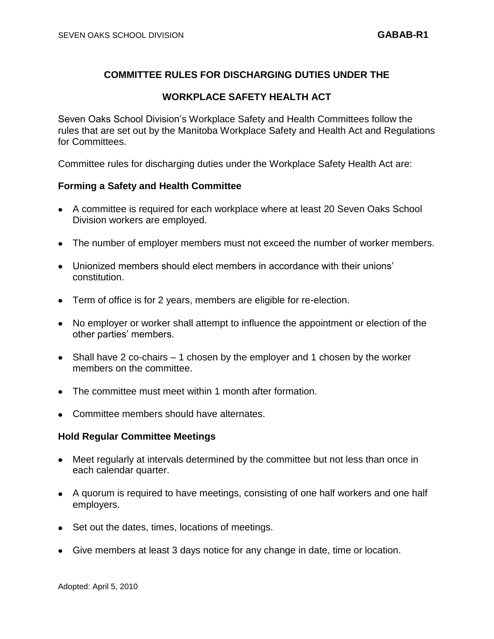# **COMMITTEE RULES FOR DISCHARGING DUTIES UNDER THE**

# **WORKPLACE SAFETY HEALTH ACT**

Seven Oaks School Division's Workplace Safety and Health Committees follow the rules that are set out by the Manitoba Workplace Safety and Health Act and Regulations for Committees.

Committee rules for discharging duties under the Workplace Safety Health Act are:

### **Forming a Safety and Health Committee**

- A committee is required for each workplace where at least 20 Seven Oaks School Division workers are employed.
- The number of employer members must not exceed the number of worker members.
- Unionized members should elect members in accordance with their unions' constitution.
- Term of office is for 2 years, members are eligible for re-election.
- No employer or worker shall attempt to influence the appointment or election of the other parties' members.
- Shall have 2 co-chairs 1 chosen by the employer and 1 chosen by the worker members on the committee.
- The committee must meet within 1 month after formation.
- Committee members should have alternates.

#### **Hold Regular Committee Meetings**

- Meet regularly at intervals determined by the committee but not less than once in each calendar quarter.
- A quorum is required to have meetings, consisting of one half workers and one half employers.
- Set out the dates, times, locations of meetings.
- Give members at least 3 days notice for any change in date, time or location.